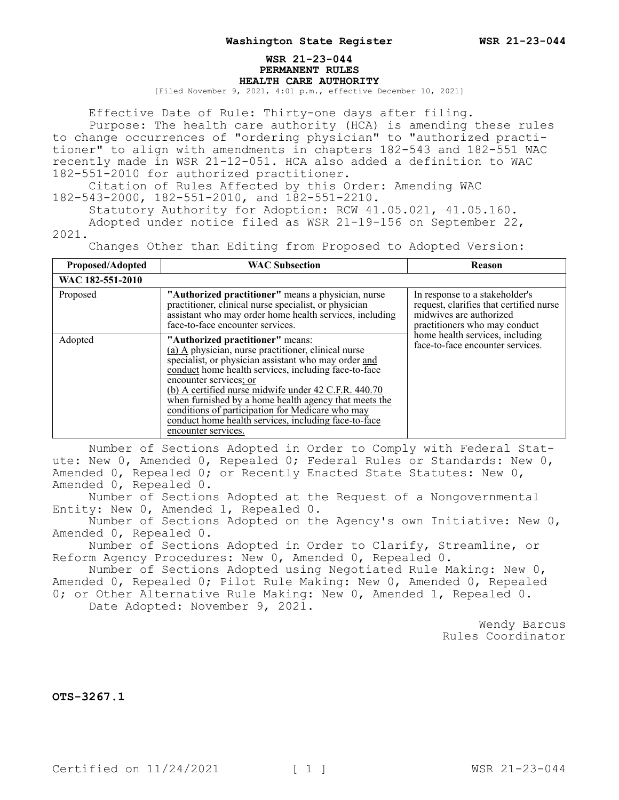## **WSR 21-23-044 PERMANENT RULES HEALTH CARE AUTHORITY**

[Filed November 9, 2021, 4:01 p.m., effective December 10, 2021]

Effective Date of Rule: Thirty-one days after filing.

Purpose: The health care authority (HCA) is amending these rules to change occurrences of "ordering physician" to "authorized practitioner" to align with amendments in chapters 182-543 and 182-551 WAC recently made in WSR 21-12-051. HCA also added a definition to WAC 182-551-2010 for authorized practitioner.

Citation of Rules Affected by this Order: Amending WAC 182-543-2000, 182-551-2010, and 182-551-2210.

Statutory Authority for Adoption: RCW 41.05.021, 41.05.160. Adopted under notice filed as WSR 21-19-156 on September 22, 2021.

Changes Other than Editing from Proposed to Adopted Version:

| Proposed/Adopted | <b>WAC Subsection</b>                                                                                                                                                                                                                                                                                                                                                                                                                                                                 | Reason                                                                                                                                                                                                       |
|------------------|---------------------------------------------------------------------------------------------------------------------------------------------------------------------------------------------------------------------------------------------------------------------------------------------------------------------------------------------------------------------------------------------------------------------------------------------------------------------------------------|--------------------------------------------------------------------------------------------------------------------------------------------------------------------------------------------------------------|
| WAC 182-551-2010 |                                                                                                                                                                                                                                                                                                                                                                                                                                                                                       |                                                                                                                                                                                                              |
| Proposed         | "Authorized practitioner" means a physician, nurse<br>practitioner, clinical nurse specialist, or physician<br>assistant who may order home health services, including<br>face-to-face encounter services.                                                                                                                                                                                                                                                                            | In response to a stakeholder's<br>request, clarifies that certified nurse<br>midwives are authorized<br>practitioners who may conduct<br>home health services, including<br>face-to-face encounter services. |
| Adopted          | "Authorized practitioner" means:<br>(a) A physician, nurse practitioner, clinical nurse<br>specialist, or physician assistant who may order and<br>conduct home health services, including face-to-face<br>encounter services; or<br>(b) A certified nurse midwife under 42 C.F.R. 440.70<br>when furnished by a home health agency that meets the<br>conditions of participation for Medicare who may<br>conduct home health services, including face-to-face<br>encounter services. |                                                                                                                                                                                                              |

Number of Sections Adopted in Order to Comply with Federal Statute: New 0, Amended 0, Repealed 0; Federal Rules or Standards: New 0, Amended 0, Repealed 0; or Recently Enacted State Statutes: New 0, Amended 0, Repealed 0.

Number of Sections Adopted at the Request of a Nongovernmental Entity: New 0, Amended 1, Repealed 0.

Number of Sections Adopted on the Agency's own Initiative: New 0, Amended 0, Repealed 0.

Number of Sections Adopted in Order to Clarify, Streamline, or Reform Agency Procedures: New 0, Amended 0, Repealed 0.

Number of Sections Adopted using Negotiated Rule Making: New 0, Amended 0, Repealed 0; Pilot Rule Making: New 0, Amended 0, Repealed 0; or Other Alternative Rule Making: New 0, Amended 1, Repealed 0.

Date Adopted: November 9, 2021.

Wendy Barcus Rules Coordinator

**OTS-3267.1**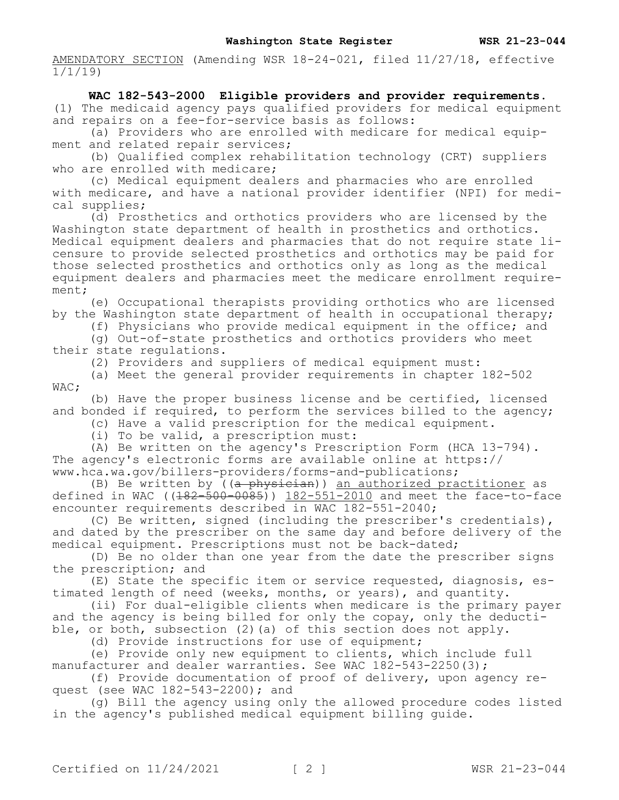AMENDATORY SECTION (Amending WSR 18-24-021, filed 11/27/18, effective 1/1/19)

## **WAC 182-543-2000 Eligible providers and provider requirements.**  (1) The medicaid agency pays qualified providers for medical equipment and repairs on a fee-for-service basis as follows:

(a) Providers who are enrolled with medicare for medical equipment and related repair services;

(b) Qualified complex rehabilitation technology (CRT) suppliers who are enrolled with medicare;

(c) Medical equipment dealers and pharmacies who are enrolled with medicare, and have a national provider identifier (NPI) for medical supplies;

(d) Prosthetics and orthotics providers who are licensed by the Washington state department of health in prosthetics and orthotics. Medical equipment dealers and pharmacies that do not require state licensure to provide selected prosthetics and orthotics may be paid for those selected prosthetics and orthotics only as long as the medical equipment dealers and pharmacies meet the medicare enrollment requirement;

(e) Occupational therapists providing orthotics who are licensed by the Washington state department of health in occupational therapy;

(f) Physicians who provide medical equipment in the office; and

(g) Out-of-state prosthetics and orthotics providers who meet their state regulations.

(2) Providers and suppliers of medical equipment must:

(a) Meet the general provider requirements in chapter 182-502 WAC;

(b) Have the proper business license and be certified, licensed and bonded if required, to perform the services billed to the agency;

(c) Have a valid prescription for the medical equipment.

(i) To be valid, a prescription must:

(A) Be written on the agency's Prescription Form (HCA 13-794). The agency's electronic forms are available online at https:// www.hca.wa.gov/billers-providers/forms-and-publications;

(B) Be written by ((a physician)) an authorized practitioner as defined in WAC ((<del>182-500-0085</del>)) <u>182-551-2010</u> and meet the face-to-face encounter requirements described in WAC 182-551-2040;

(C) Be written, signed (including the prescriber's credentials), and dated by the prescriber on the same day and before delivery of the medical equipment. Prescriptions must not be back-dated;

(D) Be no older than one year from the date the prescriber signs the prescription; and

(E) State the specific item or service requested, diagnosis, estimated length of need (weeks, months, or years), and quantity.

(ii) For dual-eligible clients when medicare is the primary payer and the agency is being billed for only the copay, only the deductible, or both, subsection (2) (a) of this section does not apply.

(d) Provide instructions for use of equipment;

(e) Provide only new equipment to clients, which include full manufacturer and dealer warranties. See WAC 182-543-2250(3);

(f) Provide documentation of proof of delivery, upon agency request (see WAC 182-543-2200); and

(g) Bill the agency using only the allowed procedure codes listed in the agency's published medical equipment billing guide.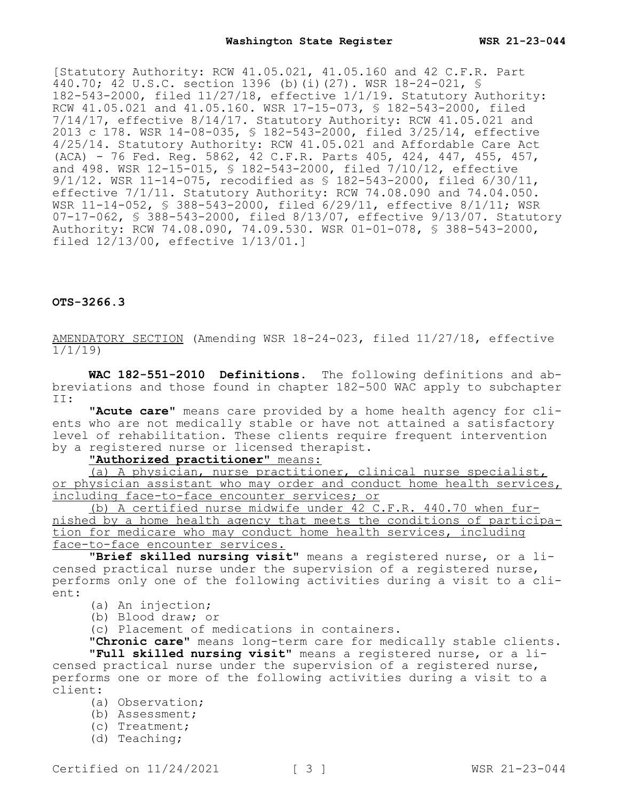[Statutory Authority: RCW 41.05.021, 41.05.160 and 42 C.F.R. Part 440.70; 42 U.S.C. section 1396 (b)(i)(27). WSR 18-24-021, § 182-543-2000, filed 11/27/18, effective 1/1/19. Statutory Authority: RCW 41.05.021 and 41.05.160. WSR 17-15-073, § 182-543-2000, filed 7/14/17, effective 8/14/17. Statutory Authority: RCW 41.05.021 and 2013 c 178. WSR 14-08-035, § 182-543-2000, filed 3/25/14, effective 4/25/14. Statutory Authority: RCW 41.05.021 and Affordable Care Act (ACA) - 76 Fed. Reg. 5862, 42 C.F.R. Parts 405, 424, 447, 455, 457, and 498. WSR 12-15-015, § 182-543-2000, filed 7/10/12, effective 9/1/12. WSR 11-14-075, recodified as § 182-543-2000, filed 6/30/11, effective 7/1/11. Statutory Authority: RCW 74.08.090 and 74.04.050. WSR 11-14-052, § 388-543-2000, filed 6/29/11, effective 8/1/11; WSR 07-17-062, § 388-543-2000, filed 8/13/07, effective 9/13/07. Statutory Authority: RCW 74.08.090, 74.09.530. WSR 01-01-078, § 388-543-2000, filed 12/13/00, effective 1/13/01.]

**OTS-3266.3**

AMENDATORY SECTION (Amending WSR 18-24-023, filed 11/27/18, effective 1/1/19)

**WAC 182-551-2010 Definitions.** The following definitions and abbreviations and those found in chapter 182-500 WAC apply to subchapter II:

**"Acute care"** means care provided by a home health agency for clients who are not medically stable or have not attained a satisfactory level of rehabilitation. These clients require frequent intervention by a registered nurse or licensed therapist.

## **"Authorized practitioner"** means:

(a) A physician, nurse practitioner, clinical nurse specialist, or physician assistant who may order and conduct home health services, including face-to-face encounter services; or

(b) A certified nurse midwife under 42 C.F.R. 440.70 when furnished by a home health agency that meets the conditions of participation for medicare who may conduct home health services, including face-to-face encounter services.

**"Brief skilled nursing visit"** means a registered nurse, or a licensed practical nurse under the supervision of a registered nurse, performs only one of the following activities during a visit to a client:

- (a) An injection;
- (b) Blood draw; or

(c) Placement of medications in containers.

**"Chronic care"** means long-term care for medically stable clients. **"Full skilled nursing visit"** means a registered nurse, or a licensed practical nurse under the supervision of a registered nurse, performs one or more of the following activities during a visit to a client:

- (a) Observation;
- (b) Assessment;
- (c) Treatment;
- (d) Teaching;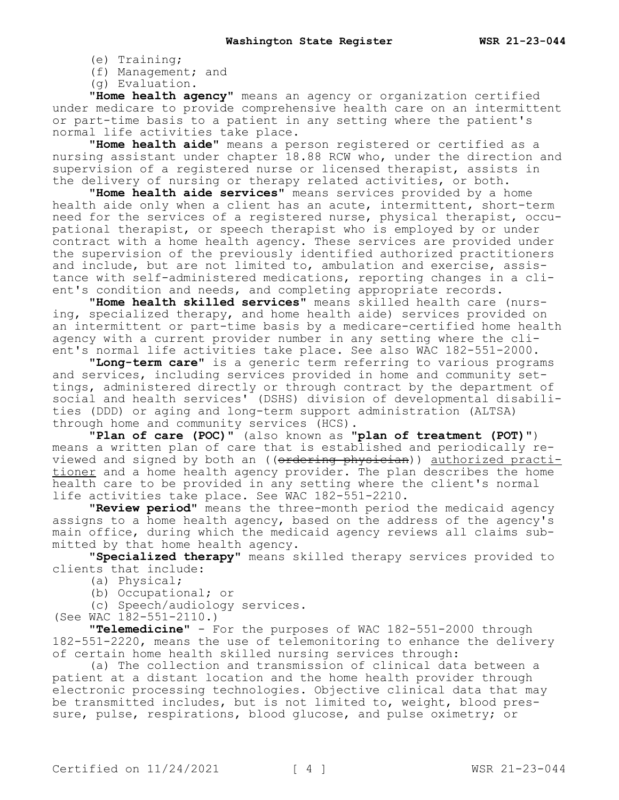- (e) Training;
- (f) Management; and
- (g) Evaluation.

**"Home health agency"** means an agency or organization certified under medicare to provide comprehensive health care on an intermittent or part-time basis to a patient in any setting where the patient's normal life activities take place.

**"Home health aide"** means a person registered or certified as a nursing assistant under chapter 18.88 RCW who, under the direction and supervision of a registered nurse or licensed therapist, assists in the delivery of nursing or therapy related activities, or both.

**"Home health aide services"** means services provided by a home health aide only when a client has an acute, intermittent, short-term need for the services of a registered nurse, physical therapist, occupational therapist, or speech therapist who is employed by or under contract with a home health agency. These services are provided under the supervision of the previously identified authorized practitioners and include, but are not limited to, ambulation and exercise, assistance with self-administered medications, reporting changes in a client's condition and needs, and completing appropriate records.

**"Home health skilled services"** means skilled health care (nursing, specialized therapy, and home health aide) services provided on an intermittent or part-time basis by a medicare-certified home health agency with a current provider number in any setting where the client's normal life activities take place. See also WAC 182-551-2000.

**"Long-term care"** is a generic term referring to various programs and services, including services provided in home and community settings, administered directly or through contract by the department of social and health services' (DSHS) division of developmental disabilities (DDD) or aging and long-term support administration (ALTSA) through home and community services (HCS).

**"Plan of care (POC)"** (also known as **"plan of treatment (POT)"**) means a written plan of care that is established and periodically reviewed and signed by both an ((ordering physician)) authorized practitioner and a home health agency provider. The plan describes the home health care to be provided in any setting where the client's normal life activities take place. See WAC 182-551-2210.

**"Review period"** means the three-month period the medicaid agency assigns to a home health agency, based on the address of the agency's main office, during which the medicaid agency reviews all claims submitted by that home health agency.

**"Specialized therapy"** means skilled therapy services provided to clients that include:

(a) Physical;

(b) Occupational; or

(c) Speech/audiology services.

(See WAC 182-551-2110.)

**"Telemedicine"** - For the purposes of WAC 182-551-2000 through 182-551-2220, means the use of telemonitoring to enhance the delivery of certain home health skilled nursing services through:

(a) The collection and transmission of clinical data between a patient at a distant location and the home health provider through electronic processing technologies. Objective clinical data that may be transmitted includes, but is not limited to, weight, blood pressure, pulse, respirations, blood glucose, and pulse oximetry; or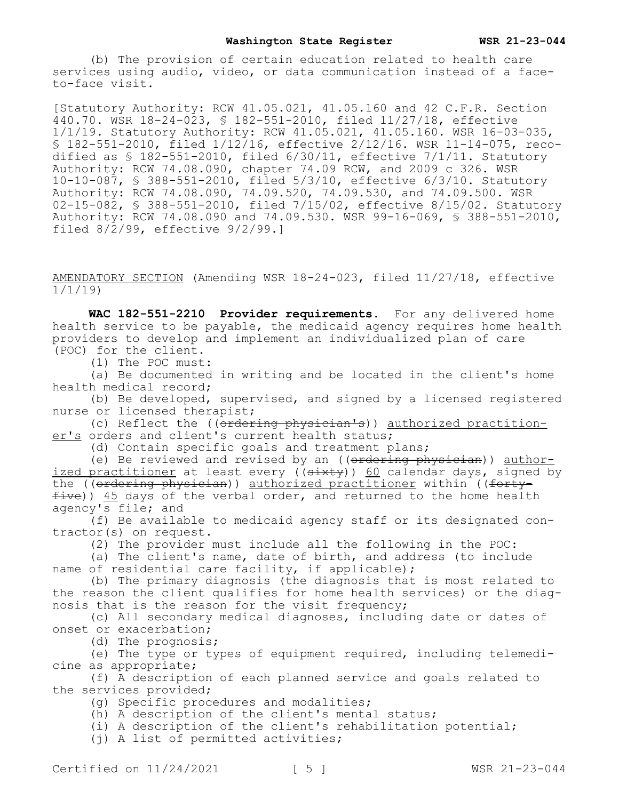(b) The provision of certain education related to health care services using audio, video, or data communication instead of a faceto-face visit.

[Statutory Authority: RCW 41.05.021, 41.05.160 and 42 C.F.R. Section 440.70. WSR 18-24-023, § 182-551-2010, filed 11/27/18, effective 1/1/19. Statutory Authority: RCW 41.05.021, 41.05.160. WSR 16-03-035, § 182-551-2010, filed 1/12/16, effective 2/12/16. WSR 11-14-075, recodified as § 182-551-2010, filed 6/30/11, effective 7/1/11. Statutory Authority: RCW 74.08.090, chapter 74.09 RCW, and 2009 c 326. WSR 10-10-087, § 388-551-2010, filed 5/3/10, effective 6/3/10. Statutory Authority: RCW 74.08.090, 74.09.520, 74.09.530, and 74.09.500. WSR 02-15-082, § 388-551-2010, filed 7/15/02, effective 8/15/02. Statutory Authority: RCW 74.08.090 and 74.09.530. WSR 99-16-069, § 388-551-2010, filed  $8/\overline{2}/99$ , effective  $9/2/99.1$ 

AMENDATORY SECTION (Amending WSR 18-24-023, filed 11/27/18, effective 1/1/19)

**WAC 182-551-2210 Provider requirements.** For any delivered home health service to be payable, the medicaid agency requires home health providers to develop and implement an individualized plan of care (POC) for the client.

(1) The POC must:

(a) Be documented in writing and be located in the client's home health medical record;

(b) Be developed, supervised, and signed by a licensed registered nurse or licensed therapist;

(c) Reflect the ((ordering physician's)) authorized practitioner's orders and client's current health status;

(d) Contain specific goals and treatment plans;

(e) Be reviewed and revised by an ((ordering physician)) authorized practitioner at least every  $((s+$ the (( $\theta$ rdering physician)) authorized practitioner within (( $\theta$ fty $f$ ive)) 45 days of the verbal order, and returned to the home health agency's file; and

(f) Be available to medicaid agency staff or its designated contractor(s) on request.

(2) The provider must include all the following in the POC:

(a) The client's name, date of birth, and address (to include name of residential care facility, if applicable);

(b) The primary diagnosis (the diagnosis that is most related to the reason the client qualifies for home health services) or the diagnosis that is the reason for the visit frequency;

(c) All secondary medical diagnoses, including date or dates of onset or exacerbation;

(d) The prognosis;

(e) The type or types of equipment required, including telemedicine as appropriate;

(f) A description of each planned service and goals related to the services provided;

(g) Specific procedures and modalities;

(h) A description of the client's mental status;

(i) A description of the client's rehabilitation potential;

(j) A list of permitted activities;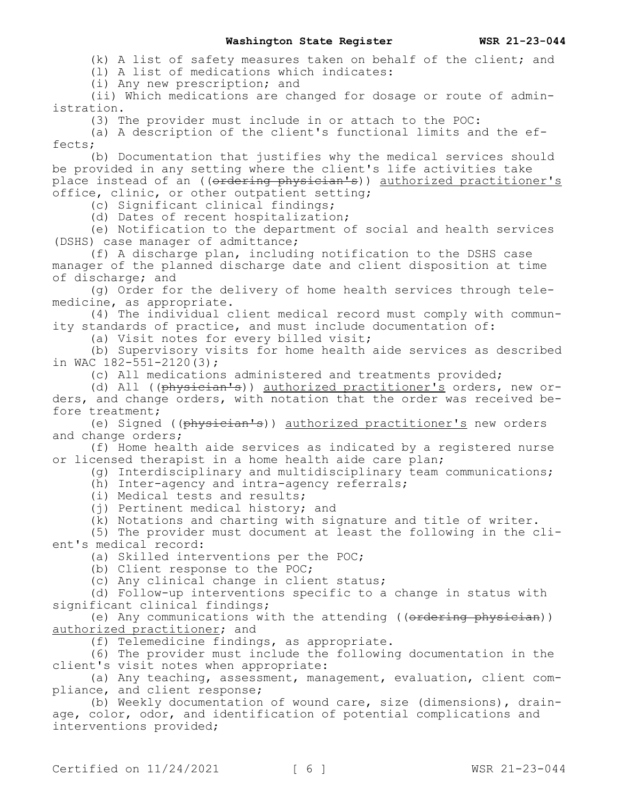(k) A list of safety measures taken on behalf of the client; and

(l) A list of medications which indicates:

(i) Any new prescription; and

(ii) Which medications are changed for dosage or route of administration.

(3) The provider must include in or attach to the POC:

(a) A description of the client's functional limits and the effects;

(b) Documentation that justifies why the medical services should be provided in any setting where the client's life activities take place instead of an ((ordering physician's)) authorized practitioner's office, clinic, or other outpatient setting;

(c) Significant clinical findings;

(d) Dates of recent hospitalization;

(e) Notification to the department of social and health services (DSHS) case manager of admittance;

(f) A discharge plan, including notification to the DSHS case manager of the planned discharge date and client disposition at time of discharge; and

(g) Order for the delivery of home health services through telemedicine, as appropriate.

(4) The individual client medical record must comply with community standards of practice, and must include documentation of:

(a) Visit notes for every billed visit;

(b) Supervisory visits for home health aide services as described in WAC  $182 - 551 - 2120(3)$ ;

(c) All medications administered and treatments provided;

(d) All ((physician's)) authorized practitioner's orders, new orders, and change orders, with notation that the order was received before treatment;

(e) Signed ((physician's)) authorized practitioner's new orders and change orders;

(f) Home health aide services as indicated by a registered nurse or licensed therapist in a home health aide care plan;

(g) Interdisciplinary and multidisciplinary team communications;

(h) Inter-agency and intra-agency referrals;

- (i) Medical tests and results;
- (i) Pertinent medical history; and

(k) Notations and charting with signature and title of writer.

(5) The provider must document at least the following in the client's medical record:

(a) Skilled interventions per the POC;

(b) Client response to the POC;

(c) Any clinical change in client status;

(d) Follow-up interventions specific to a change in status with significant clinical findings;

(e) Any communications with the attending ((ordering physician)) authorized practitioner; and

(f) Telemedicine findings, as appropriate.

(6) The provider must include the following documentation in the client's visit notes when appropriate:

(a) Any teaching, assessment, management, evaluation, client compliance, and client response;

(b) Weekly documentation of wound care, size (dimensions), drainage, color, odor, and identification of potential complications and interventions provided;